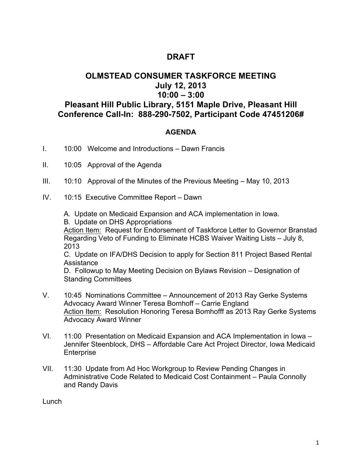## **DRAFT**

## **OLMSTEAD CONSUMER TASKFORCE MEETING July 12, 2013 10:00 – 3:00 Pleasant Hill Public Library, 5151 Maple Drive, Pleasant Hill Conference Call-In: 888-290-7502, Participant Code 47451206#**

## **AGENDA**

- I. 10:00 Welcome and Introductions Dawn Francis
- II. 10:05 Approval of the Agenda
- III. 10:10 Approval of the Minutes of the Previous Meeting May 10, 2013
- IV. 10:15 Executive Committee Report Dawn
	- A. Update on Medicaid Expansion and ACA implementation in Iowa.
	- B. Update on DHS Appropriations

Action Item: Request for Endorsement of Taskforce Letter to Governor Branstad Regarding Veto of Funding to Eliminate HCBS Waiver Waiting Lists – July 8, 2013

C. Update on IFA/DHS Decision to apply for Section 811 Project Based Rental **Assistance** 

D. Followup to May Meeting Decision on Bylaws Revision – Designation of Standing Committees

- V. 10:45 Nominations Committee Announcement of 2013 Ray Gerke Systems Advocacy Award Winner Teresa Bomhoff – Carrie England Action Item: Resolution Honoring Teresa Bomhofff as 2013 Ray Gerke Systems Advocacy Award Winner
- VI. 11:00 Presentation on Medicaid Expansion and ACA Implementation in Iowa Jennifer Steenblock, DHS – Affordable Care Act Project Director, Iowa Medicaid Enterprise
- VII. 11:30 Update from Ad Hoc Workgroup to Review Pending Changes in Administrative Code Related to Medicaid Cost Containment – Paula Connolly and Randy Davis

Lunch